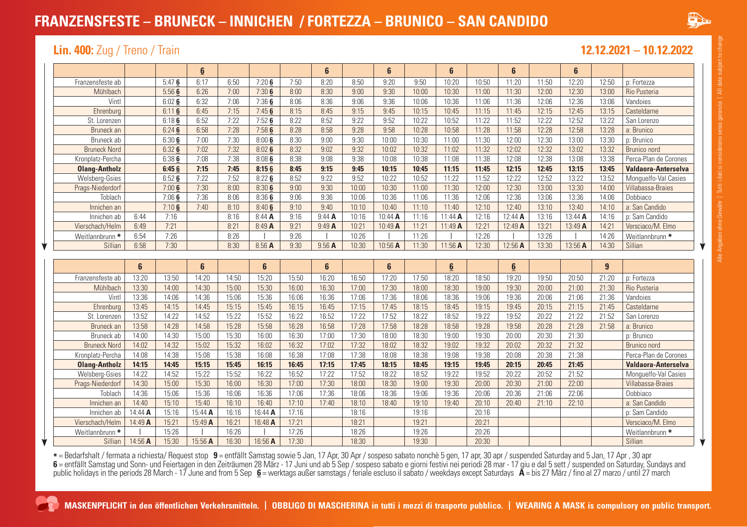# **FRANZENSFESTE – BRUNECK – INNICHEN / FORTEZZA – BRUNICO – SAN CANDIDO**



### **Lin. 400:** Zug / Treno / Train **12.12.2021 – 10.12.2022**

|                      |         |                | 6       |       |         |                | 6        |                | 6       |                | $6\phantom{1}$ |                | 6         |       | 6       |       |                            |
|----------------------|---------|----------------|---------|-------|---------|----------------|----------|----------------|---------|----------------|----------------|----------------|-----------|-------|---------|-------|----------------------------|
| Franzensfeste ab     |         | 5:476          | 6:17    | 6:50  | 7:206   | 7:50           | 8:20     | 8:50           | 9:20    | 9:50           | 10:20          | 10:50          | 11:20     | 11:50 | 12:20   | 12:50 | p: Fortezza                |
| Mühlbach             |         | 5:566          | 6:26    | 7:00  | 7:306   | 8:00           | 8:30     | 9:00           | 9:30    | 10:00          | 10:30          | 11:00          | 11:30     | 12:00 | 12:30   | 13:00 | Rio Pusteria               |
| Vintl                |         | 6:026          | 6:32    | 7:06  | 7:366   | 8:06           | 8:36     | 9:06           | 9:36    | 10:06          | 10:36          | 11:06          | 11:36     | 12:06 | 12:36   | 13:06 | Vandoies                   |
| Ehrenburg            |         | 6:116          | 6:45    | 7:15  | 7:456   | 8:15           | 8:45     | 9:15           | 9:45    | 10:15          | 10:45          | 11:15          | 11:45     | 12:15 | 12:45   | 13:15 | Casteldarne                |
| St. Lorenzen         |         | 6:186          | 6:52    | 7:22  | 7:526   | 8:22           | 8:52     | 9:22           | 9:52    | 10:22          | 10:52          | 11:22          | 11:52     | 12:22 | 12:52   | 13:22 | San Lorenzo                |
| Bruneck an           |         | 6:246          | 6:58    | 7:28  | 7:586   | 8:28           | 8:58     | 9:28           | 9:58    | 10:28          | 10:58          | 11:28          | 11:58     | 12:28 | 12:58   | 13:28 | a: Brunico                 |
| Bruneck ab           |         | 6:306          | 7:00    | 7:30  | 8:006   | 8:30           | 9:00     | 9:30           | 10:00   | 10:30          | 11:00          | 11:30          | 12:00     | 12:30 | 13:00   | 13:30 | p: Brunico                 |
| <b>Bruneck Nord</b>  |         | 6:326          | 7:02    | 7:32  | 8:026   | 8:32           | 9:02     | 9:32           | 10:02   | 10:32          | 11:02          | 11:32          | 12:02     | 12:32 | 13:02   | 13:32 | Brunico nord               |
| Kronplatz-Percha     |         | 6:386          | 7:08    | 7:38  | 8:086   | 8:38           | 9:08     | 9:38           | 10:08   | 10:38          | 11:08          | 11:38          | 12:08     | 12:38 | 13:08   | 13:38 | Perca-Plan de Corones      |
| <b>Olang-Antholz</b> |         | 6:456          | 7:15    | 7:45  | 8:156   | 8:45           | 9:15     | 9:45           | 10:15   | 10:45          | 11:15          | 11:45          | 12:15     | 12:45 | 13:15   | 13:45 | Valdaora-Anterselva        |
| Welsberg-Gsies       |         | 6:526          | 7:22    | 7:52  | 8:226   | 8:52           | 9:22     | 9:52           | 10:22   | 10:52          | 11:22          | 11:52          | 12:22     | 12:52 | 13:22   | 13:52 | Monquelfo-Val Casies       |
| Prags-Niederdorf     |         | 7:006          | 7:30    | 8:00  | 8:306   | 9:00           | 9:30     | 10:00          | 10:30   | 11:00          | 11:30          | 12:00          | 12:30     | 13:00 | 13:30   | 14:00 | Villabassa-Braies          |
| Toblach              |         | 7:066          | 7:36    | 8:06  | 8:366   | 9:06           | 9:36     | 10:06          | 10:36   | 11:06          | 11:36          | 12:06          | 12:36     | 13:06 | 13:36   | 14:06 | Dobbiaco                   |
| Innichen an          |         | 7:106          | 7:40    | 8:10  | 8:406   | 9:10           | 9:40     | 10:10          | 10:40   | 11:10          | 11:40          | 12:10          | 12:40     | 13:10 | 13:40   | 14:10 | a: San Candido             |
| Innichen ab          | 6:44    | 7:16           |         | 8:16  | 8:44A   | 9:16           | 9:44A    | 10:16          | 10:44 A | 11:16          | $11:44$ A      | 12:16          | $12:44$ A | 13:16 | 13:44 A | 14:16 | p: Sam Candido             |
| Vierschach/Helm      | 6:49    | 7:21           |         | 8:21  | 8:49A   | 9:21           | 9:49A    | 10:21          | 10:49 A | 11:21          | 11:49 A        | 12:21          | 12:49 A   | 13:21 | 13:49 A | 14:21 | Versciaco/M. Elmo          |
| Weitlannbrunn *      | 6:54    | 7:26           |         | 8:26  |         | 9:26           |          | 10:26          |         | 11:26          |                | 12:26          |           | 13:26 |         | 14:26 | Weitlannbrunn *            |
| Sillian              | 6:58    | 7:30           |         | 8:30  | 8.56 A  | 9:30           | $9.56$ A | 10:30          | 10:56 A | 11:30          | 11:56 A        | 12:30          | 12:56 A   | 13:30 | 13:56 A | 14:30 | Sillian                    |
|                      |         |                |         |       |         |                |          |                |         |                |                |                |           |       |         |       |                            |
|                      |         |                |         |       |         |                |          |                |         |                |                |                |           |       |         |       |                            |
|                      | 6       |                | 6       |       | 6       |                | 6        |                | 6       |                | $6\phantom{1}$ |                | 6         |       |         | 9     |                            |
| Franzensfeste ab     | 13:20   | 13:50          | 14:20   | 14:50 | 15:20   | 15:50          | 16:20    | 16:50          | 17:20   | 17:50          | 18:20          | 18:50          | 19:20     | 19:50 | 20:50   | 21:20 | p: Fortezza                |
| Mühlbach             | 13:30   | 14:00          | 14:30   | 15:00 | 15:30   | 16:00          | 16:30    | 17:00          | 17:30   | 18:00          | 18:30          | 19:00          | 19:30     | 20:00 | 21:00   | 21:30 | Rio Pusteria               |
| Vintl                | 13:36   | 14:06          | 14:36   | 15:06 | 15:36   | 16:06          | 16:36    | 17:06          | 17:36   | 18:06          | 18:36          | 19:06          | 19:36     | 20:06 | 21:06   | 21:36 | Vandoies                   |
| Ehrenburg            | 13:45   | 14:15          | 14:45   | 15:15 | 15:45   | 16:15          | 16:45    | 17:15          | 17:45   | 18:15          | 18:45          | 19:15          | 19:45     | 20:15 | 21:15   | 21:45 | Casteldarne                |
| St. Lorenzen         | 13:52   | 14:22          | 14:52   | 15:22 | 15:52   | 16:22          | 16:52    | 17:22          | 17:52   | 18:22          | 18:52          | 19:22          | 19:52     | 20:22 | 21:22   | 21:52 | San Lorenzo                |
| Bruneck an           | 13:58   | 14:28          | 14:58   | 15:28 | 15:58   | 16:28          | 16:58    | 17:28          | 17:58   | 18:28          | 18:58          | 19:28          | 19:58     | 20:28 | 21:28   | 21:58 | a: Brunico                 |
| Bruneck ab           | 14:00   | 14:30          | 15:00   | 15:30 | 16:00   | 16:30          | 17:00    | 17:30          | 18:00   | 18:30          | 19:00          | 19:30          | 20:00     | 20:30 | 21:30   |       | p: Brunico                 |
| <b>Bruneck Nord</b>  | 14:02   | 14:32          | 15:02   | 15:32 | 16:02   | 16:32          | 17:02    | 17:32          | 18:02   | 18:32          | 19:02          | 19:32          | 20:02     | 20:32 | 21:32   |       | <b>Brunico</b> nord        |
| Kronplatz-Percha     | 14:08   | 14:38          | 15:08   | 15:38 | 16:08   | 16:38          | 17:08    | 17:38          | 18:08   | 18:38          | 19:08          | 19:38          | 20:08     | 20:38 | 21:38   |       | Perca-Plan de Corones      |
| <b>Olang-Antholz</b> | 14:15   | 14:45          | 15:15   | 15:45 | 16:15   | 16:45          | 17:15    | 17:45          | 18:15   | 18:45          | 19:15          | 19:45          | 20:15     | 20:45 | 21:45   |       | Valdaora-Anterselva        |
| Welsberg-Gsies       | 14:22   | 14:52          | 15:22   | 15:52 | 16:22   | 16:52          | 17:22    | 17:52          | 18:22   | 18:52          | 19:22          | 19:52          | 20:22     | 20:52 | 21:52   |       | Monquelfo-Val Casies       |
| Prags-Niederdorf     | 14:30   | 15:00          | 15:30   | 16:00 | 16:30   | 17:00          | 17:30    | 18:00          | 18:30   | 19:00          | 19:30          | 20:00          | 20:30     | 21:00 | 22:00   |       | Villabassa-Braies          |
| Toblach              | 14:36   | 15:06          | 15:36   | 16:06 | 16:36   | 17:06          | 17:36    | 18:06          | 18:36   | 19:06          | 19:36          | 20:06          | 20:36     | 21:06 | 22:06   |       | Dobbiaco                   |
| Innichen an          | 14:40   | 15:10          | 15:40   | 16:10 | 16:40   | 17:10          | 17:40    | 18:10          | 18:40   | 19:10          | 19:40          | 20:10          | 20:40     | 21:10 | 22:10   |       | a: San Candido             |
| Innichen ab          | 14:44 A | 15:16          | 15:44 A | 16:16 | 16:44 A | 17:16          |          | 18:16          |         | 19:16          |                | 20:16          |           |       |         |       | p: Sam Candido             |
| Vierschach/Helm      | 14:49 A | 15:21          | 15:49 A | 16:21 | 16:48 A | 17:21          |          | 18:21          |         | 19:21          |                | 20:21          |           |       |         |       | Versciaco/M. Elmo          |
| Weitlannbrunn *      | 14:56 A | 15:26<br>15:30 | 15:56 A | 16:26 | 16:56 A | 17:26<br>17:30 |          | 18:26<br>18:30 |         | 19:26<br>19:30 |                | 20:26<br>20:30 |           |       |         |       | Weitlannbrunn *<br>Sillian |

\* = Bedarfshalt / fermata a richiesta/ Request stop 9 = entfällt Samstag sowie 5 Jan, 17 Apr, 30 Apr / sospeso sabato nonchè 5 gen, 17 apr, 30 apr / suspended Saturday and 5 Jan, 17 Apr , 30 apr<br>6 = entfällt Samstag und S